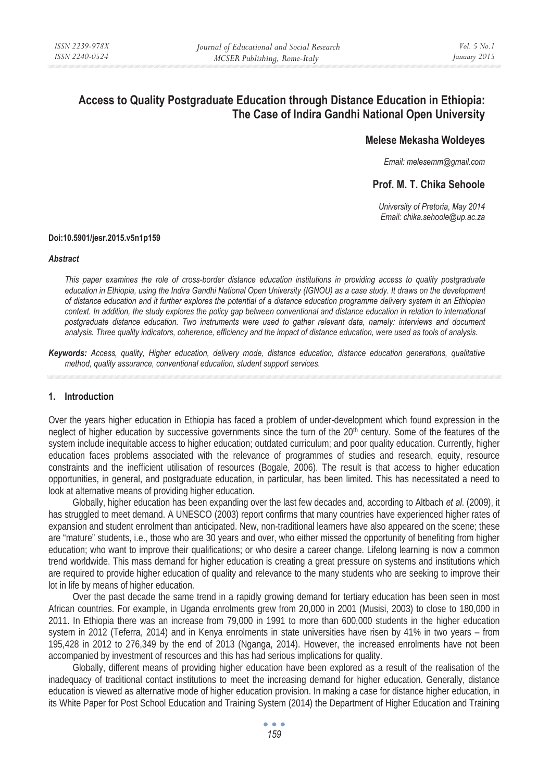# **Access to Quality Postgraduate Education through Distance Education in Ethiopia: The Case of Indira Gandhi National Open University**

# **Melese Mekasha Woldeyes**

*Email: melesemm@gmail.com* 

# **Prof. M. T. Chika Sehoole**

*University of Pretoria, May 2014 Email: chika.sehoole@up.ac.za* 

#### **Doi:10.5901/jesr.2015.v5n1p159**

#### *Abstract*

*This paper examines the role of cross-border distance education institutions in providing access to quality postgraduate education in Ethiopia, using the Indira Gandhi National Open University (IGNOU) as a case study. It draws on the development of distance education and it further explores the potential of a distance education programme delivery system in an Ethiopian*  context. In addition, the study explores the policy gap between conventional and distance education in relation to international *postgraduate distance education. Two instruments were used to gather relevant data, namely: interviews and document analysis. Three quality indicators, coherence, efficiency and the impact of distance education, were used as tools of analysis.* 

*Keywords: Access, quality, Higher education, delivery mode, distance education, distance education generations, qualitative method, quality assurance, conventional education, student support services.* 

### **1. Introduction**

Over the years higher education in Ethiopia has faced a problem of under-development which found expression in the neglect of higher education by successive governments since the turn of the 20<sup>th</sup> century. Some of the features of the system include inequitable access to higher education; outdated curriculum; and poor quality education. Currently, higher education faces problems associated with the relevance of programmes of studies and research, equity, resource constraints and the inefficient utilisation of resources (Bogale, 2006). The result is that access to higher education opportunities, in general, and postgraduate education, in particular, has been limited. This has necessitated a need to look at alternative means of providing higher education.

Globally, higher education has been expanding over the last few decades and, according to Altbach *et al*. (2009), it has struggled to meet demand. A UNESCO (2003) report confirms that many countries have experienced higher rates of expansion and student enrolment than anticipated. New, non-traditional learners have also appeared on the scene; these are "mature" students, i.e., those who are 30 years and over, who either missed the opportunity of benefiting from higher education; who want to improve their qualifications; or who desire a career change. Lifelong learning is now a common trend worldwide. This mass demand for higher education is creating a great pressure on systems and institutions which are required to provide higher education of quality and relevance to the many students who are seeking to improve their lot in life by means of higher education.

Over the past decade the same trend in a rapidly growing demand for tertiary education has been seen in most African countries. For example, in Uganda enrolments grew from 20,000 in 2001 (Musisi, 2003) to close to 180,000 in 2011. In Ethiopia there was an increase from 79,000 in 1991 to more than 600,000 students in the higher education system in 2012 (Teferra, 2014) and in Kenya enrolments in state universities have risen by 41% in two years – from 195,428 in 2012 to 276,349 by the end of 2013 (Nganga, 2014). However, the increased enrolments have not been accompanied by investment of resources and this has had serious implications for quality.

Globally, different means of providing higher education have been explored as a result of the realisation of the inadequacy of traditional contact institutions to meet the increasing demand for higher education. Generally, distance education is viewed as alternative mode of higher education provision. In making a case for distance higher education, in its White Paper for Post School Education and Training System (2014) the Department of Higher Education and Training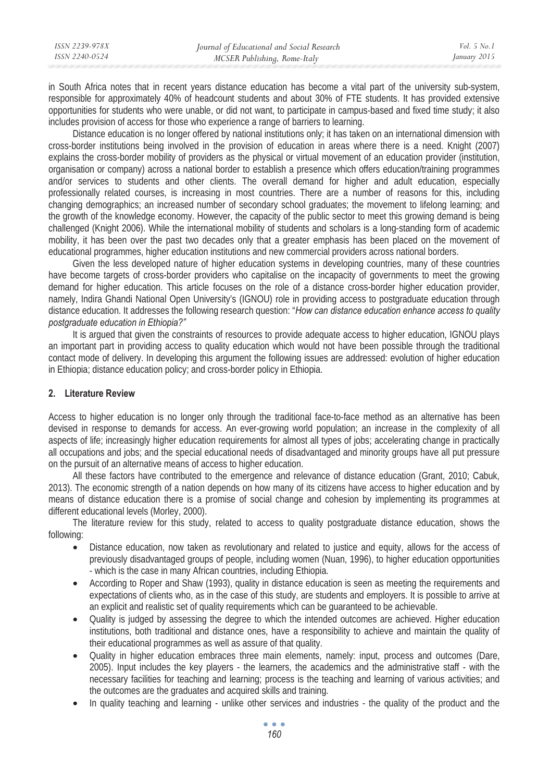| ISSN 2239-978X | Journal of Educational and Social Research | <i>Vol.</i> 5 $No.1$ |
|----------------|--------------------------------------------|----------------------|
| ISSN 2240-0524 | MCSER Publishing, Rome-Italy               | January 2015         |
|                |                                            |                      |

in South Africa notes that in recent years distance education has become a vital part of the university sub-system, responsible for approximately 40% of headcount students and about 30% of FTE students. It has provided extensive opportunities for students who were unable, or did not want, to participate in campus-based and fixed time study; it also includes provision of access for those who experience a range of barriers to learning.

Distance education is no longer offered by national institutions only; it has taken on an international dimension with cross-border institutions being involved in the provision of education in areas where there is a need. Knight (2007) explains the cross-border mobility of providers as the physical or virtual movement of an education provider (institution, organisation or company) across a national border to establish a presence which offers education/training programmes and/or services to students and other clients. The overall demand for higher and adult education, especially professionally related courses, is increasing in most countries. There are a number of reasons for this, including changing demographics; an increased number of secondary school graduates; the movement to lifelong learning; and the growth of the knowledge economy. However, the capacity of the public sector to meet this growing demand is being challenged (Knight 2006). While the international mobility of students and scholars is a long-standing form of academic mobility, it has been over the past two decades only that a greater emphasis has been placed on the movement of educational programmes, higher education institutions and new commercial providers across national borders.

Given the less developed nature of higher education systems in developing countries, many of these countries have become targets of cross-border providers who capitalise on the incapacity of governments to meet the growing demand for higher education. This article focuses on the role of a distance cross-border higher education provider, namely, Indira Ghandi National Open University's (IGNOU) role in providing access to postgraduate education through distance education. It addresses the following research question: "*How can distance education enhance access to quality postgraduate education in Ethiopia?"*

It is argued that given the constraints of resources to provide adequate access to higher education, IGNOU plays an important part in providing access to quality education which would not have been possible through the traditional contact mode of delivery. In developing this argument the following issues are addressed: evolution of higher education in Ethiopia; distance education policy; and cross-border policy in Ethiopia.

# **2. Literature Review**

Access to higher education is no longer only through the traditional face-to-face method as an alternative has been devised in response to demands for access. An ever-growing world population; an increase in the complexity of all aspects of life; increasingly higher education requirements for almost all types of jobs; accelerating change in practically all occupations and jobs; and the special educational needs of disadvantaged and minority groups have all put pressure on the pursuit of an alternative means of access to higher education.

All these factors have contributed to the emergence and relevance of distance education (Grant, 2010; Cabuk, 2013). The economic strength of a nation depends on how many of its citizens have access to higher education and by means of distance education there is a promise of social change and cohesion by implementing its programmes at different educational levels (Morley, 2000).

The literature review for this study, related to access to quality postgraduate distance education, shows the following:

- Distance education, now taken as revolutionary and related to justice and equity, allows for the access of previously disadvantaged groups of people, including women (Nuan, 1996), to higher education opportunities - which is the case in many African countries, including Ethiopia.
- According to Roper and Shaw (1993), quality in distance education is seen as meeting the requirements and expectations of clients who, as in the case of this study, are students and employers. It is possible to arrive at an explicit and realistic set of quality requirements which can be guaranteed to be achievable.
- Quality is judged by assessing the degree to which the intended outcomes are achieved. Higher education institutions, both traditional and distance ones, have a responsibility to achieve and maintain the quality of their educational programmes as well as assure of that quality.
- Quality in higher education embraces three main elements, namely: input, process and outcomes (Dare, 2005). Input includes the key players - the learners, the academics and the administrative staff - with the necessary facilities for teaching and learning; process is the teaching and learning of various activities; and the outcomes are the graduates and acquired skills and training.
- In quality teaching and learning unlike other services and industries the quality of the product and the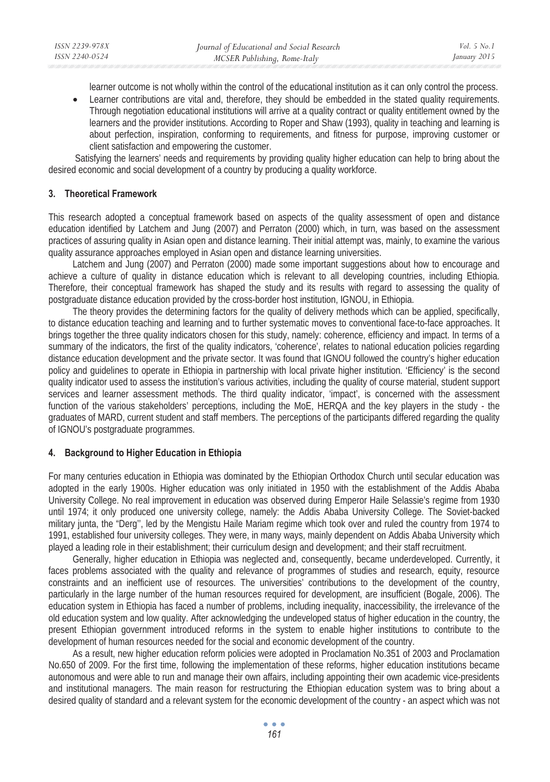learner outcome is not wholly within the control of the educational institution as it can only control the process.

• Learner contributions are vital and, therefore, they should be embedded in the stated quality requirements. Through negotiation educational institutions will arrive at a quality contract or quality entitlement owned by the learners and the provider institutions. According to Roper and Shaw (1993), quality in teaching and learning is about perfection, inspiration, conforming to requirements, and fitness for purpose, improving customer or client satisfaction and empowering the customer.

 Satisfying the learners' needs and requirements by providing quality higher education can help to bring about the desired economic and social development of a country by producing a quality workforce.

# **3. Theoretical Framework**

This research adopted a conceptual framework based on aspects of the quality assessment of open and distance education identified by Latchem and Jung (2007) and Perraton (2000) which, in turn, was based on the assessment practices of assuring quality in Asian open and distance learning. Their initial attempt was, mainly, to examine the various quality assurance approaches employed in Asian open and distance learning universities.

Latchem and Jung (2007) and Perraton (2000) made some important suggestions about how to encourage and achieve a culture of quality in distance education which is relevant to all developing countries, including Ethiopia. Therefore, their conceptual framework has shaped the study and its results with regard to assessing the quality of postgraduate distance education provided by the cross-border host institution, IGNOU, in Ethiopia.

The theory provides the determining factors for the quality of delivery methods which can be applied, specifically, to distance education teaching and learning and to further systematic moves to conventional face-to-face approaches. It brings together the three quality indicators chosen for this study, namely: coherence, efficiency and impact. In terms of a summary of the indicators, the first of the quality indicators, 'coherence', relates to national education policies regarding distance education development and the private sector. It was found that IGNOU followed the country's higher education policy and guidelines to operate in Ethiopia in partnership with local private higher institution. 'Efficiency' is the second quality indicator used to assess the institution's various activities, including the quality of course material, student support services and learner assessment methods. The third quality indicator, 'impact', is concerned with the assessment function of the various stakeholders' perceptions, including the MoE, HERQA and the key players in the study - the graduates of MARD, current student and staff members. The perceptions of the participants differed regarding the quality of IGNOU's postgraduate programmes.

# **4. Background to Higher Education in Ethiopia**

For many centuries education in Ethiopia was dominated by the Ethiopian Orthodox Church until secular education was adopted in the early 1900s. Higher education was only initiated in 1950 with the establishment of the Addis Ababa University College. No real improvement in education was observed during Emperor Haile Selassie's regime from 1930 until 1974; it only produced one university college, namely: the Addis Ababa University College. The Soviet-backed military junta, the "Derg'', led by the Mengistu Haile Mariam regime which took over and ruled the country from 1974 to 1991, established four university colleges. They were, in many ways, mainly dependent on Addis Ababa University which played a leading role in their establishment; their curriculum design and development; and their staff recruitment.

Generally, higher education in Ethiopia was neglected and, consequently, became underdeveloped. Currently, it faces problems associated with the quality and relevance of programmes of studies and research, equity, resource constraints and an inefficient use of resources. The universities' contributions to the development of the country, particularly in the large number of the human resources required for development, are insufficient (Bogale, 2006). The education system in Ethiopia has faced a number of problems, including inequality, inaccessibility, the irrelevance of the old education system and low quality. After acknowledging the undeveloped status of higher education in the country, the present Ethiopian government introduced reforms in the system to enable higher institutions to contribute to the development of human resources needed for the social and economic development of the country.

As a result, new higher education reform policies were adopted in Proclamation No.351 of 2003 and Proclamation No.650 of 2009. For the first time, following the implementation of these reforms, higher education institutions became autonomous and were able to run and manage their own affairs, including appointing their own academic vice-presidents and institutional managers. The main reason for restructuring the Ethiopian education system was to bring about a desired quality of standard and a relevant system for the economic development of the country - an aspect which was not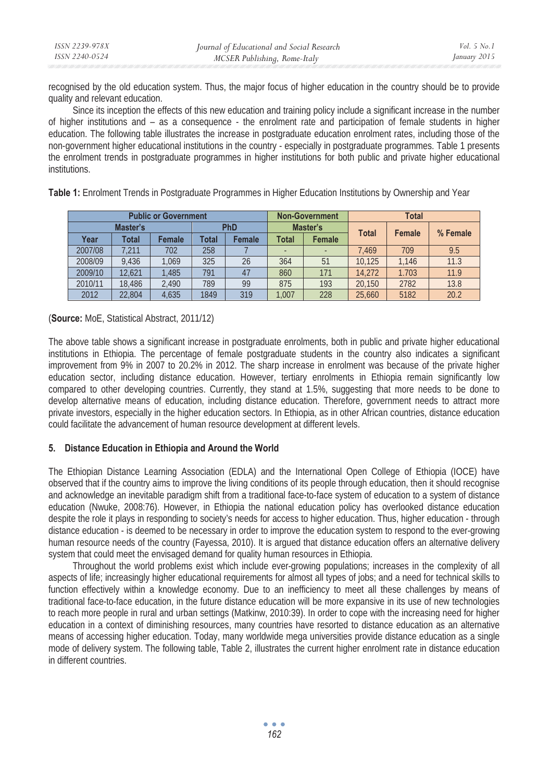| ISSN 2239-978X | Journal of Educational and Social Research | <i>Vol.</i> 5 $No.$ |
|----------------|--------------------------------------------|---------------------|
| ISSN 2240-0524 | MCSER Publishing, Rome-Italy               | January 2015        |

recognised by the old education system. Thus, the major focus of higher education in the country should be to provide quality and relevant education.

Since its inception the effects of this new education and training policy include a significant increase in the number of higher institutions and – as a consequence - the enrolment rate and participation of female students in higher education. The following table illustrates the increase in postgraduate education enrolment rates, including those of the non-government higher educational institutions in the country - especially in postgraduate programmes. Table 1 presents the enrolment trends in postgraduate programmes in higher institutions for both public and private higher educational institutions.

| <b>Public or Government</b> |        |        |                 |        | <b>Non-Government</b> | <b>Total</b> |              |               |          |
|-----------------------------|--------|--------|-----------------|--------|-----------------------|--------------|--------------|---------------|----------|
| Master's                    |        |        | PhD<br>Master's |        |                       |              |              |               |          |
| Year                        | Total  | Female | Total           | Female | Total                 | Female       | <b>Total</b> | <b>Female</b> | % Female |
| 2007/08                     | 1.211  | 702    | 258             |        |                       |              | 7.469        | 709           | 9.5      |
| 2008/09                     | 9.436  | 1.069  | 325             | 26     | 364                   | 51           | 10.125       | 1.146         | 11.3     |
| 2009/10                     | 12.621 | 1.485  | 791             | 47     | 860                   | 171          | 14.272       | 1.703         | 11.9     |
| 2010/11                     | 18,486 | 2.490  | 789             | 99     | 875                   | 193          | 20.150       | 2782          | 13.8     |
| 2012                        | 22.804 | 4.635  | 1849            | 319    | .007                  | 228          | 25.660       | 5182          | 20.2     |

**Table 1:** Enrolment Trends in Postgraduate Programmes in Higher Education Institutions by Ownership and Year

(**Source:** MoE, Statistical Abstract, 2011/12)

The above table shows a significant increase in postgraduate enrolments, both in public and private higher educational institutions in Ethiopia. The percentage of female postgraduate students in the country also indicates a significant improvement from 9% in 2007 to 20.2% in 2012. The sharp increase in enrolment was because of the private higher education sector, including distance education. However, tertiary enrolments in Ethiopia remain significantly low compared to other developing countries. Currently, they stand at 1.5%, suggesting that more needs to be done to develop alternative means of education, including distance education. Therefore, government needs to attract more private investors, especially in the higher education sectors. In Ethiopia, as in other African countries, distance education could facilitate the advancement of human resource development at different levels.

# **5. Distance Education in Ethiopia and Around the World**

The Ethiopian Distance Learning Association (EDLA) and the International Open College of Ethiopia (IOCE) have observed that if the country aims to improve the living conditions of its people through education, then it should recognise and acknowledge an inevitable paradigm shift from a traditional face-to-face system of education to a system of distance education (Nwuke, 2008:76). However, in Ethiopia the national education policy has overlooked distance education despite the role it plays in responding to society's needs for access to higher education. Thus, higher education - through distance education - is deemed to be necessary in order to improve the education system to respond to the ever-growing human resource needs of the country (Fayessa, 2010). It is argued that distance education offers an alternative delivery system that could meet the envisaged demand for quality human resources in Ethiopia.

Throughout the world problems exist which include ever-growing populations; increases in the complexity of all aspects of life; increasingly higher educational requirements for almost all types of jobs; and a need for technical skills to function effectively within a knowledge economy. Due to an inefficiency to meet all these challenges by means of traditional face-to-face education, in the future distance education will be more expansive in its use of new technologies to reach more people in rural and urban settings (Matkinw, 2010:39). In order to cope with the increasing need for higher education in a context of diminishing resources, many countries have resorted to distance education as an alternative means of accessing higher education. Today, many worldwide mega universities provide distance education as a single mode of delivery system. The following table, Table 2, illustrates the current higher enrolment rate in distance education in different countries.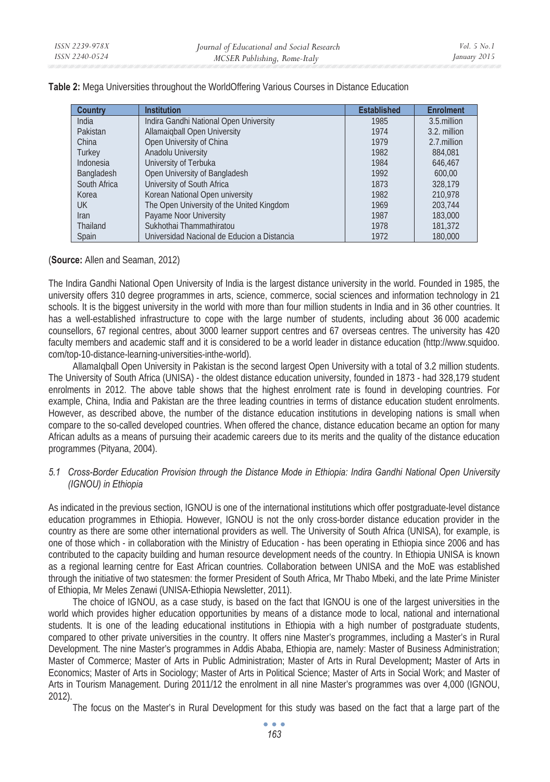| Country      | <b>Institution</b>                          | <b>Established</b> | <b>Enrolment</b> |
|--------------|---------------------------------------------|--------------------|------------------|
| India        | Indira Gandhi National Open University      | 1985               | 3.5 million      |
| Pakistan     | <b>Allamaigball Open University</b>         | 1974               | 3.2. million     |
| China        | Open University of China                    | 1979               | 2.7 million      |
| Turkey       | Anadolu University                          | 1982               | 884.081          |
| Indonesia    | University of Terbuka                       | 1984               | 646.467          |
| Bangladesh   | Open University of Bangladesh               | 1992               | 600.00           |
| South Africa | University of South Africa                  | 1873               | 328.179          |
| Korea        | Korean National Open university             | 1982               | 210.978          |
| UK.          | The Open University of the United Kingdom   | 1969               | 203.744          |
| <b>Iran</b>  | Payame Noor University                      | 1987               | 183,000          |
| Thailand     | Sukhothai Thammathiratou                    | 1978               | 181,372          |
| Spain        | Universidad Nacional de Educion a Distancia | 1972               | 180,000          |

**Table 2:** Mega Universities throughout the WorldOffering Various Courses in Distance Education

# (**Source:** Allen and Seaman, 2012)

The Indira Gandhi National Open University of India is the largest distance university in the world. Founded in 1985, the university offers 310 degree programmes in arts, science, commerce, social sciences and information technology in 21 schools. It is the biggest university in the world with more than four million students in India and in 36 other countries. It has a well-established infrastructure to cope with the large number of students, including about 36 000 academic counsellors, 67 regional centres, about 3000 learner support centres and 67 overseas centres. The university has 420 faculty members and academic staff and it is considered to be a world leader in distance education (http://www.squidoo. com/top-10-distance-learning-universities-inthe-world).

AllamaIqball Open University in Pakistan is the second largest Open University with a total of 3.2 million students. The University of South Africa (UNISA) - the oldest distance education university, founded in 1873 - had 328,179 student enrolments in 2012. The above table shows that the highest enrolment rate is found in developing countries. For example, China, India and Pakistan are the three leading countries in terms of distance education student enrolments. However, as described above, the number of the distance education institutions in developing nations is small when compare to the so-called developed countries. When offered the chance, distance education became an option for many African adults as a means of pursuing their academic careers due to its merits and the quality of the distance education programmes (Pityana, 2004).

# *5.1 Cross-Border Education Provision through the Distance Mode in Ethiopia: Indira Gandhi National Open University (IGNOU) in Ethiopia*

As indicated in the previous section, IGNOU is one of the international institutions which offer postgraduate-level distance education programmes in Ethiopia. However, IGNOU is not the only cross-border distance education provider in the country as there are some other international providers as well. The University of South Africa (UNISA), for example, is one of those which - in collaboration with the Ministry of Education - has been operating in Ethiopia since 2006 and has contributed to the capacity building and human resource development needs of the country. In Ethiopia UNISA is known as a regional learning centre for East African countries. Collaboration between UNISA and the MoE was established through the initiative of two statesmen: the former President of South Africa, Mr Thabo Mbeki, and the late Prime Minister of Ethiopia, Mr Meles Zenawi (UNISA-Ethiopia Newsletter, 2011).

The choice of IGNOU, as a case study, is based on the fact that IGNOU is one of the largest universities in the world which provides higher education opportunities by means of a distance mode to local, national and international students. It is one of the leading educational institutions in Ethiopia with a high number of postgraduate students, compared to other private universities in the country. It offers nine Master's programmes, including a Master's in Rural Development. The nine Master's programmes in Addis Ababa, Ethiopia are, namely: Master of Business Administration; Master of Commerce; Master of Arts in Public Administration; Master of Arts in Rural Development**;** Master of Arts in Economics; Master of Arts in Sociology; Master of Arts in Political Science; Master of Arts in Social Work; and Master of Arts in Tourism Management. During 2011/12 the enrolment in all nine Master's programmes was over 4,000 (IGNOU, 2012).

The focus on the Master's in Rural Development for this study was based on the fact that a large part of the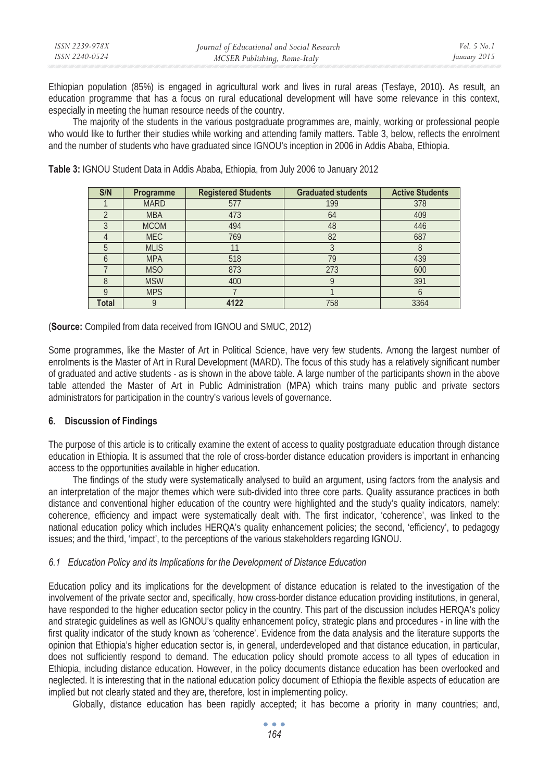| ISSN 2239-978X | Journal of Educational and Social Research | <i>Vol.</i> 5 $No.1$ |
|----------------|--------------------------------------------|----------------------|
| ISSN 2240-0524 | MCSER Publishing, Rome-Italy               | January 2015         |

Ethiopian population (85%) is engaged in agricultural work and lives in rural areas (Tesfaye, 2010). As result, an education programme that has a focus on rural educational development will have some relevance in this context, especially in meeting the human resource needs of the country.

The majority of the students in the various postgraduate programmes are, mainly, working or professional people who would like to further their studies while working and attending family matters. Table 3, below, reflects the enrolment and the number of students who have graduated since IGNOU's inception in 2006 in Addis Ababa, Ethiopia.

| S/N   | Programme   | <b>Registered Students</b> | <b>Graduated students</b> | <b>Active Students</b> |
|-------|-------------|----------------------------|---------------------------|------------------------|
|       | <b>MARD</b> | 577                        | 199                       | 378                    |
|       | <b>MBA</b>  | 473                        | 64                        | 409                    |
|       | <b>MCOM</b> | 494                        | 48                        | 446                    |
|       | <b>MEC</b>  | 769                        | 82                        | 687                    |
| 5     | <b>MLIS</b> |                            |                           | 8                      |
|       | <b>MPA</b>  | 518                        | 79                        | 439                    |
|       | <b>MSO</b>  | 873                        | 273                       | 600                    |
| 8     | <b>MSW</b>  | 400                        |                           | 391                    |
| O     | <b>MPS</b>  |                            |                           | O                      |
| Total | Q           | 4122                       | 758                       | 3364                   |

**Table 3:** IGNOU Student Data in Addis Ababa, Ethiopia, from July 2006 to January 2012

(**Source:** Compiled from data received from IGNOU and SMUC, 2012)

Some programmes, like the Master of Art in Political Science, have very few students. Among the largest number of enrolments is the Master of Art in Rural Development (MARD). The focus of this study has a relatively significant number of graduated and active students - as is shown in the above table. A large number of the participants shown in the above table attended the Master of Art in Public Administration (MPA) which trains many public and private sectors administrators for participation in the country's various levels of governance.

# **6. Discussion of Findings**

The purpose of this article is to critically examine the extent of access to quality postgraduate education through distance education in Ethiopia. It is assumed that the role of cross-border distance education providers is important in enhancing access to the opportunities available in higher education.

The findings of the study were systematically analysed to build an argument, using factors from the analysis and an interpretation of the major themes which were sub-divided into three core parts. Quality assurance practices in both distance and conventional higher education of the country were highlighted and the study's quality indicators, namely: coherence, efficiency and impact were systematically dealt with. The first indicator, 'coherence', was linked to the national education policy which includes HERQA's quality enhancement policies; the second, 'efficiency', to pedagogy issues; and the third, 'impact', to the perceptions of the various stakeholders regarding IGNOU.

# *6.1 Education Policy and its Implications for the Development of Distance Education*

Education policy and its implications for the development of distance education is related to the investigation of the involvement of the private sector and, specifically, how cross-border distance education providing institutions, in general, have responded to the higher education sector policy in the country. This part of the discussion includes HERQA's policy and strategic guidelines as well as IGNOU's quality enhancement policy, strategic plans and procedures - in line with the first quality indicator of the study known as 'coherence'. Evidence from the data analysis and the literature supports the opinion that Ethiopia's higher education sector is, in general, underdeveloped and that distance education, in particular, does not sufficiently respond to demand. The education policy should promote access to all types of education in Ethiopia, including distance education. However, in the policy documents distance education has been overlooked and neglected. It is interesting that in the national education policy document of Ethiopia the flexible aspects of education are implied but not clearly stated and they are, therefore, lost in implementing policy.

Globally, distance education has been rapidly accepted; it has become a priority in many countries; and,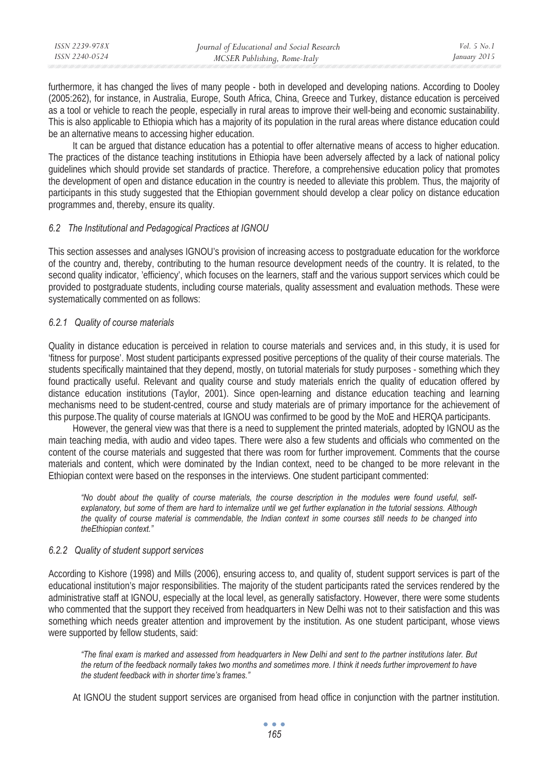| ISSN 2239-978X | Journal of Educational and Social Research | Vol. 5 No. 1 |
|----------------|--------------------------------------------|--------------|
| ISSN 2240-0524 | MCSER Publishing, Rome-Italy               | January 2015 |
|                |                                            |              |

furthermore, it has changed the lives of many people - both in developed and developing nations. According to Dooley (2005:262), for instance, in Australia, Europe, South Africa, China, Greece and Turkey, distance education is perceived as a tool or vehicle to reach the people, especially in rural areas to improve their well-being and economic sustainability. This is also applicable to Ethiopia which has a majority of its population in the rural areas where distance education could be an alternative means to accessing higher education.

It can be argued that distance education has a potential to offer alternative means of access to higher education. The practices of the distance teaching institutions in Ethiopia have been adversely affected by a lack of national policy guidelines which should provide set standards of practice. Therefore, a comprehensive education policy that promotes the development of open and distance education in the country is needed to alleviate this problem. Thus, the majority of participants in this study suggested that the Ethiopian government should develop a clear policy on distance education programmes and, thereby, ensure its quality.

# *6.2 The Institutional and Pedagogical Practices at IGNOU*

This section assesses and analyses IGNOU's provision of increasing access to postgraduate education for the workforce of the country and, thereby, contributing to the human resource development needs of the country. It is related, to the second quality indicator, 'efficiency', which focuses on the learners, staff and the various support services which could be provided to postgraduate students, including course materials, quality assessment and evaluation methods. These were systematically commented on as follows:

# *6.2.1 Quality of course materials*

Quality in distance education is perceived in relation to course materials and services and, in this study, it is used for 'fitness for purpose'. Most student participants expressed positive perceptions of the quality of their course materials. The students specifically maintained that they depend, mostly, on tutorial materials for study purposes - something which they found practically useful. Relevant and quality course and study materials enrich the quality of education offered by distance education institutions (Taylor, 2001). Since open-learning and distance education teaching and learning mechanisms need to be student-centred, course and study materials are of primary importance for the achievement of this purpose.The quality of course materials at IGNOU was confirmed to be good by the MoE and HERQA participants.

However, the general view was that there is a need to supplement the printed materials, adopted by IGNOU as the main teaching media, with audio and video tapes. There were also a few students and officials who commented on the content of the course materials and suggested that there was room for further improvement. Comments that the course materials and content, which were dominated by the Indian context, need to be changed to be more relevant in the Ethiopian context were based on the responses in the interviews. One student participant commented:

*"No doubt about the quality of course materials, the course description in the modules were found useful, selfexplanatory, but some of them are hard to internalize until we get further explanation in the tutorial sessions. Although the quality of course material is commendable, the Indian context in some courses still needs to be changed into theEthiopian context."* 

# *6.2.2 Quality of student support services*

According to Kishore (1998) and Mills (2006), ensuring access to, and quality of, student support services is part of the educational institution's major responsibilities. The majority of the student participants rated the services rendered by the administrative staff at IGNOU, especially at the local level, as generally satisfactory. However, there were some students who commented that the support they received from headquarters in New Delhi was not to their satisfaction and this was something which needs greater attention and improvement by the institution. As one student participant, whose views were supported by fellow students, said:

*"The final exam is marked and assessed from headquarters in New Delhi and sent to the partner institutions later. But the return of the feedback normally takes two months and sometimes more. I think it needs further improvement to have the student feedback with in shorter time's frames."* 

At IGNOU the student support services are organised from head office in conjunction with the partner institution.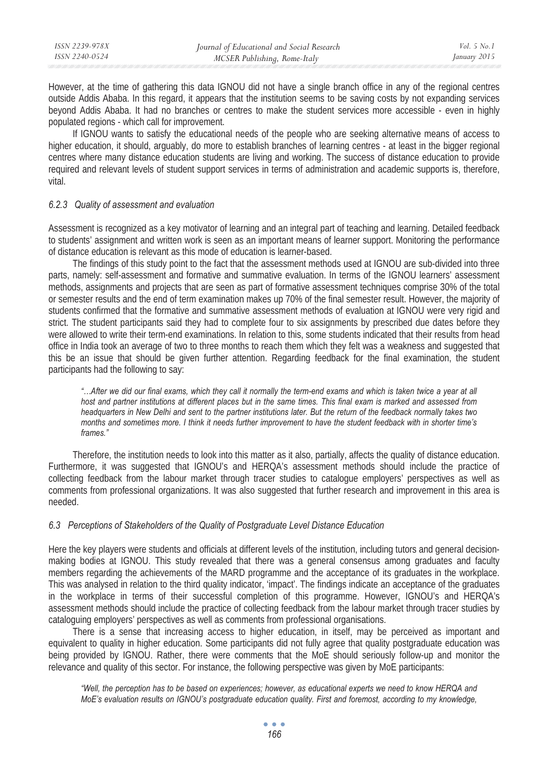| ISSN 2239-978X | Journal of Educational and Social Research | Vol. 5 No. 1 |
|----------------|--------------------------------------------|--------------|
| ISSN 2240-0524 | MCSER Publishing, Rome-Italy               | January 2015 |
|                |                                            |              |

However, at the time of gathering this data IGNOU did not have a single branch office in any of the regional centres outside Addis Ababa. In this regard, it appears that the institution seems to be saving costs by not expanding services beyond Addis Ababa. It had no branches or centres to make the student services more accessible - even in highly populated regions - which call for improvement.

If IGNOU wants to satisfy the educational needs of the people who are seeking alternative means of access to higher education, it should, arguably, do more to establish branches of learning centres - at least in the bigger regional centres where many distance education students are living and working. The success of distance education to provide required and relevant levels of student support services in terms of administration and academic supports is, therefore, vital.

### *6.2.3 Quality of assessment and evaluation*

Assessment is recognized as a key motivator of learning and an integral part of teaching and learning. Detailed feedback to students' assignment and written work is seen as an important means of learner support. Monitoring the performance of distance education is relevant as this mode of education is learner-based.

The findings of this study point to the fact that the assessment methods used at IGNOU are sub-divided into three parts, namely: self-assessment and formative and summative evaluation. In terms of the IGNOU learners' assessment methods, assignments and projects that are seen as part of formative assessment techniques comprise 30% of the total or semester results and the end of term examination makes up 70% of the final semester result. However, the majority of students confirmed that the formative and summative assessment methods of evaluation at IGNOU were very rigid and strict. The student participants said they had to complete four to six assignments by prescribed due dates before they were allowed to write their term-end examinations. In relation to this, some students indicated that their results from head office in India took an average of two to three months to reach them which they felt was a weakness and suggested that this be an issue that should be given further attention. Regarding feedback for the final examination, the student participants had the following to say:

*"…After we did our final exams, which they call it normally the term-end exams and which is taken twice a year at all host and partner institutions at different places but in the same times. This final exam is marked and assessed from headquarters in New Delhi and sent to the partner institutions later. But the return of the feedback normally takes two months and sometimes more. I think it needs further improvement to have the student feedback with in shorter time's frames."* 

Therefore, the institution needs to look into this matter as it also, partially, affects the quality of distance education. Furthermore, it was suggested that IGNOU's and HERQA's assessment methods should include the practice of collecting feedback from the labour market through tracer studies to catalogue employers' perspectives as well as comments from professional organizations. It was also suggested that further research and improvement in this area is needed.

### *6.3 Perceptions of Stakeholders of the Quality of Postgraduate Level Distance Education*

Here the key players were students and officials at different levels of the institution, including tutors and general decisionmaking bodies at IGNOU. This study revealed that there was a general consensus among graduates and faculty members regarding the achievements of the MARD programme and the acceptance of its graduates in the workplace. This was analysed in relation to the third quality indicator, 'impact'. The findings indicate an acceptance of the graduates in the workplace in terms of their successful completion of this programme. However, IGNOU's and HERQA's assessment methods should include the practice of collecting feedback from the labour market through tracer studies by cataloguing employers' perspectives as well as comments from professional organisations.

There is a sense that increasing access to higher education, in itself, may be perceived as important and equivalent to quality in higher education. Some participants did not fully agree that quality postgraduate education was being provided by IGNOU. Rather, there were comments that the MoE should seriously follow-up and monitor the relevance and quality of this sector. For instance, the following perspective was given by MoE participants:

*"Well, the perception has to be based on experiences; however, as educational experts we need to know HERQA and MoE's evaluation results on IGNOU's postgraduate education quality. First and foremost, according to my knowledge,*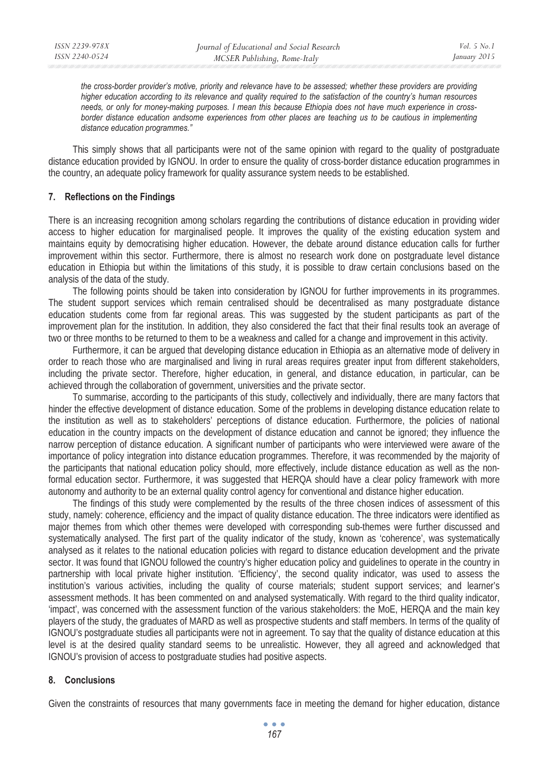*the cross-border provider's motive, priority and relevance have to be assessed; whether these providers are providing higher education according to its relevance and quality required to the satisfaction of the country's human resources needs, or only for money-making purposes. I mean this because Ethiopia does not have much experience in crossborder distance education andsome experiences from other places are teaching us to be cautious in implementing distance education programmes."* 

This simply shows that all participants were not of the same opinion with regard to the quality of postgraduate distance education provided by IGNOU. In order to ensure the quality of cross-border distance education programmes in the country, an adequate policy framework for quality assurance system needs to be established.

# **7. Reflections on the Findings**

There is an increasing recognition among scholars regarding the contributions of distance education in providing wider access to higher education for marginalised people. It improves the quality of the existing education system and maintains equity by democratising higher education. However, the debate around distance education calls for further improvement within this sector. Furthermore, there is almost no research work done on postgraduate level distance education in Ethiopia but within the limitations of this study, it is possible to draw certain conclusions based on the analysis of the data of the study.

The following points should be taken into consideration by IGNOU for further improvements in its programmes. The student support services which remain centralised should be decentralised as many postgraduate distance education students come from far regional areas. This was suggested by the student participants as part of the improvement plan for the institution. In addition, they also considered the fact that their final results took an average of two or three months to be returned to them to be a weakness and called for a change and improvement in this activity.

Furthermore, it can be argued that developing distance education in Ethiopia as an alternative mode of delivery in order to reach those who are marginalised and living in rural areas requires greater input from different stakeholders, including the private sector. Therefore, higher education, in general, and distance education, in particular, can be achieved through the collaboration of government, universities and the private sector.

To summarise, according to the participants of this study, collectively and individually, there are many factors that hinder the effective development of distance education. Some of the problems in developing distance education relate to the institution as well as to stakeholders' perceptions of distance education. Furthermore, the policies of national education in the country impacts on the development of distance education and cannot be ignored; they influence the narrow perception of distance education. A significant number of participants who were interviewed were aware of the importance of policy integration into distance education programmes. Therefore, it was recommended by the majority of the participants that national education policy should, more effectively, include distance education as well as the nonformal education sector. Furthermore, it was suggested that HERQA should have a clear policy framework with more autonomy and authority to be an external quality control agency for conventional and distance higher education.

The findings of this study were complemented by the results of the three chosen indices of assessment of this study, namely: coherence, efficiency and the impact of quality distance education. The three indicators were identified as major themes from which other themes were developed with corresponding sub-themes were further discussed and systematically analysed. The first part of the quality indicator of the study, known as 'coherence', was systematically analysed as it relates to the national education policies with regard to distance education development and the private sector. It was found that IGNOU followed the country's higher education policy and guidelines to operate in the country in partnership with local private higher institution. 'Efficiency', the second quality indicator, was used to assess the institution's various activities, including the quality of course materials; student support services; and learner's assessment methods. It has been commented on and analysed systematically. With regard to the third quality indicator, 'impact', was concerned with the assessment function of the various stakeholders: the MoE, HERQA and the main key players of the study, the graduates of MARD as well as prospective students and staff members. In terms of the quality of IGNOU's postgraduate studies all participants were not in agreement. To say that the quality of distance education at this level is at the desired quality standard seems to be unrealistic. However, they all agreed and acknowledged that IGNOU's provision of access to postgraduate studies had positive aspects.

# **8. Conclusions**

Given the constraints of resources that many governments face in meeting the demand for higher education, distance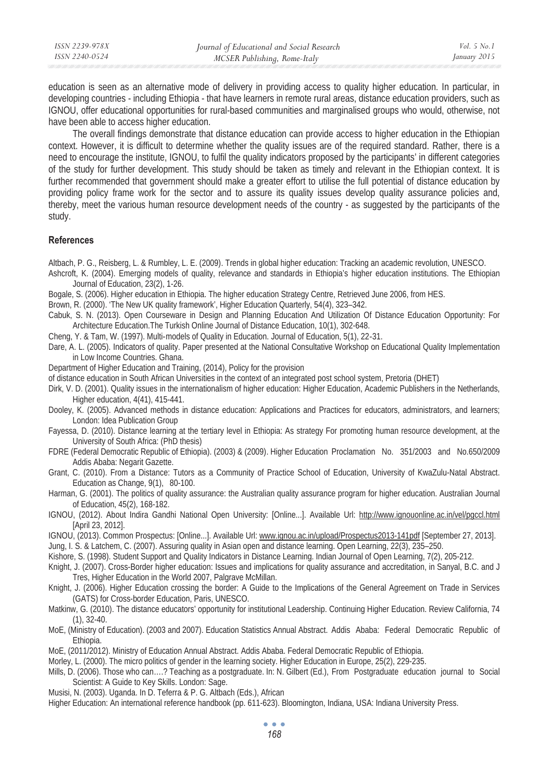education is seen as an alternative mode of delivery in providing access to quality higher education. In particular, in developing countries - including Ethiopia - that have learners in remote rural areas, distance education providers, such as IGNOU, offer educational opportunities for rural-based communities and marginalised groups who would, otherwise, not have been able to access higher education.

The overall findings demonstrate that distance education can provide access to higher education in the Ethiopian context. However, it is difficult to determine whether the quality issues are of the required standard. Rather, there is a need to encourage the institute, IGNOU, to fulfil the quality indicators proposed by the participants' in different categories of the study for further development. This study should be taken as timely and relevant in the Ethiopian context. It is further recommended that government should make a greater effort to utilise the full potential of distance education by providing policy frame work for the sector and to assure its quality issues develop quality assurance policies and, thereby, meet the various human resource development needs of the country - as suggested by the participants of the study.

#### **References**

Altbach, P. G., Reisberg, L. & Rumbley, L. E. (2009). Trends in global higher education: Tracking an academic revolution, UNESCO.

- Ashcroft, K. (2004). Emerging models of quality, relevance and standards in Ethiopia's higher education institutions. The Ethiopian Journal of Education, 23(2), 1-26.
- Bogale, S. (2006). Higher education in Ethiopia. The higher education Strategy Centre, Retrieved June 2006, from HES.
- Brown, R. (2000). 'The New UK quality framework', Higher Education Quarterly, 54(4), 323–342.
- Cabuk, S. N. (2013). Open Courseware in Design and Planning Education And Utilization Of Distance Education Opportunity: For Architecture Education.The Turkish Online Journal of Distance Education, 10(1), 302-648.
- Cheng, Y. & Tam, W. (1997). Multi-models of Quality in Education. Journal of Education, 5(1), 22-31.
- Dare, A. L. (2005). Indicators of quality. Paper presented at the National Consultative Workshop on Educational Quality Implementation in Low Income Countries. Ghana.
- Department of Higher Education and Training, (2014), Policy for the provision
- of distance education in South African Universities in the context of an integrated post school system, Pretoria (DHET)
- Dirk, V. D. (2001). Quality issues in the internationalism of higher education: Higher Education, Academic Publishers in the Netherlands, Higher education, 4(41), 415-441.
- Dooley, K. (2005). Advanced methods in distance education: Applications and Practices for educators, administrators, and learners; London: Idea Publication Group
- Fayessa, D. (2010). Distance learning at the tertiary level in Ethiopia: As strategy For promoting human resource development, at the University of South Africa: (PhD thesis)
- FDRE (Federal Democratic Republic of Ethiopia). (2003) & (2009). Higher Education Proclamation No. 351/2003 and No.650/2009 Addis Ababa: Negarit Gazette.
- Grant, C. (2010). From a Distance: Tutors as a Community of Practice School of Education, University of KwaZulu-Natal Abstract. Education as Change, 9(1), 80-100.
- Harman, G. (2001). The politics of quality assurance: the Australian quality assurance program for higher education. Australian Journal of Education, 45(2), 168-182.
- IGNOU, (2012). About Indira Gandhi National Open University: [Online...]. Available Url: http://www.ignouonline.ac.in/vel/pgccl.html [April 23, 2012].
- IGNOU, (2013). Common Prospectus: [Online...]. Available Url: www.ignou.ac.in/upload/Prospectus2013-141pdf [September 27, 2013].
- Jung, I. S. & Latchem, C. (2007). Assuring quality in Asian open and distance learning. Open Learning, 22(3), 235–250.
- Kishore, S. (1998). Student Support and Quality Indicators in Distance Learning. Indian Journal of Open Learning, 7(2), 205-212.
- Knight, J. (2007). Cross-Border higher education: Issues and implications for quality assurance and accreditation, in Sanyal, B.C. and J Tres, Higher Education in the World 2007, Palgrave McMillan.
- Knight, J. (2006). Higher Education crossing the border: A Guide to the Implications of the General Agreement on Trade in Services (GATS) for Cross-border Education, Paris, UNESCO.
- Matkinw, G. (2010). The distance educators' opportunity for institutional Leadership. Continuing Higher Education. Review California, 74 (1), 32-40.
- MoE, (Ministry of Education). (2003 and 2007). Education Statistics Annual Abstract. Addis Ababa: Federal Democratic Republic of Ethiopia.
- MoE, (2011/2012). Ministry of Education Annual Abstract. Addis Ababa. Federal Democratic Republic of Ethiopia.
- Morley, L. (2000). The micro politics of gender in the learning society. Higher Education in Europe, 25(2), 229-235.
- Mills, D. (2006). Those who can….? Teaching as a postgraduate. In: N. Gilbert (Ed.), From Postgraduate education journal to Social Scientist: A Guide to Key Skills. London: Sage.
- Musisi, N. (2003). Uganda. In D. Teferra & P. G. Altbach (Eds.), African
- Higher Education: An international reference handbook (pp. 611-623). Bloomington, Indiana, USA: Indiana University Press.